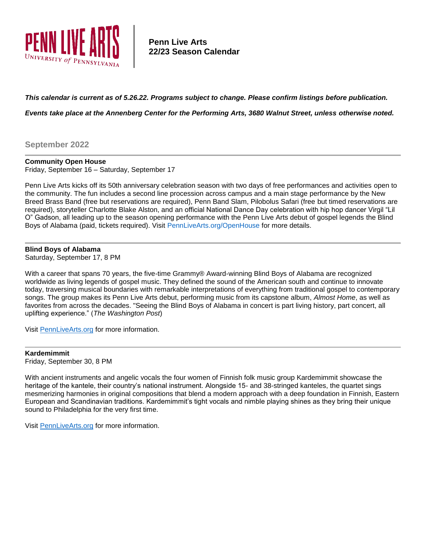

# **Penn Live Arts 22/23 Season Calendar**

# *This calendar is current as of 5.26.22. Programs subject to change. Please confirm listings before publication.*

*Events take place at the Annenberg Center for the Performing Arts, 3680 Walnut Street, unless otherwise noted.*

**September 2022**

## **Community Open House**

Friday, September 16 – Saturday, September 17

Penn Live Arts kicks off its 50th anniversary celebration season with two days of free performances and activities open to the community. The fun includes a second line procession across campus and a main stage performance by the New Breed Brass Band (free but reservations are required), Penn Band Slam, Pilobolus Safari (free but timed reservations are required), storyteller Charlotte Blake Alston, and an official National Dance Day celebration with hip hop dancer Virgil "Lil O" Gadson, all leading up to the season opening performance with the Penn Live Arts debut of gospel legends the Blind Boys of Alabama (paid, tickets required). Visit [PennLiveArts.org/OpenHouse](https://pennlivearts.org/events/openhouse.php) for more details.

# **Blind Boys of Alabama**

Saturday, September 17, 8 PM

With a career that spans 70 years, the five-time Grammy® Award-winning Blind Boys of Alabama are recognized worldwide as living legends of gospel music. They defined the sound of the American south and continue to innovate today, traversing musical boundaries with remarkable interpretations of everything from traditional gospel to contemporary songs. The group makes its Penn Live Arts debut, performing music from its capstone album, *Almost Home*, as well as favorites from across the decades. "Seeing the Blind Boys of Alabama in concert is part living history, part concert, all uplifting experience." (*The Washington Post*)

Visit [PennLiveArts.org](https://pennlivearts.org/) for more information.

## **Kardemimmit**

Friday, September 30, 8 PM

With ancient instruments and angelic vocals the four women of Finnish folk music group Kardemimmit showcase the heritage of the kantele, their country's national instrument. Alongside 15- and 38-stringed kanteles, the quartet sings mesmerizing harmonies in original compositions that blend a modern approach with a deep foundation in Finnish, Eastern European and Scandinavian traditions. Kardemimmit's tight vocals and nimble playing shines as they bring their unique sound to Philadelphia for the very first time.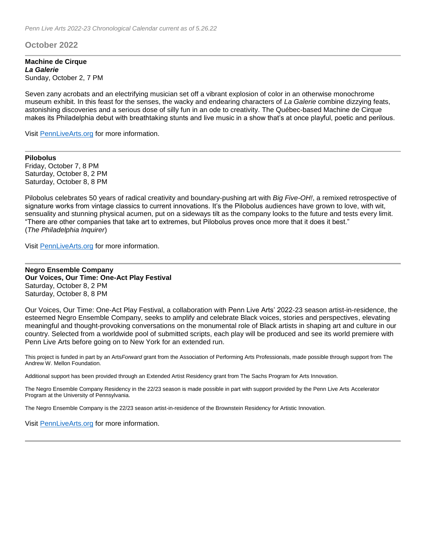# **October 2022**

#### **Machine de Cirque** *La Galerie* Sunday, October 2, 7 PM

Seven zany acrobats and an electrifying musician set off a vibrant explosion of color in an otherwise monochrome museum exhibit. In this feast for the senses, the wacky and endearing characters of *La Galerie* combine dizzying feats, astonishing discoveries and a serious dose of silly fun in an ode to creativity. The Québec-based Machine de Cirque makes its Philadelphia debut with breathtaking stunts and live music in a show that's at once playful, poetic and perilous.

Visit [PennLiveArts.org](https://pennlivearts.org/) for more information.

**Pilobolus** Friday, October 7, 8 PM Saturday, October 8, 2 PM Saturday, October 8, 8 PM

Pilobolus celebrates 50 years of radical creativity and boundary-pushing art with *Big Five-OH!*, a remixed retrospective of signature works from vintage classics to current innovations. It's the Pilobolus audiences have grown to love, with wit, sensuality and stunning physical acumen, put on a sideways tilt as the company looks to the future and tests every limit. "There are other companies that take art to extremes, but Pilobolus proves once more that it does it best." (*The Philadelphia Inquirer*)

Visit [PennLiveArts.org](https://pennlivearts.org/) for more information.

**Negro Ensemble Company Our Voices, Our Time: One-Act Play Festival** Saturday, October 8, 2 PM Saturday, October 8, 8 PM

Our Voices, Our Time: One-Act Play Festival, a collaboration with Penn Live Arts' 2022-23 season artist-in-residence, the esteemed Negro Ensemble Company, seeks to amplify and celebrate Black voices, stories and perspectives, elevating meaningful and thought-provoking conversations on the monumental role of Black artists in shaping art and culture in our country. Selected from a worldwide pool of submitted scripts, each play will be produced and see its world premiere with Penn Live Arts before going on to New York for an extended run.

This project is funded in part by an Arts*Forward* grant from the Association of Performing Arts Professionals, made possible through support from The Andrew W. Mellon Foundation.

Additional support has been provided through an Extended Artist Residency grant from The Sachs Program for Arts Innovation.

The Negro Ensemble Company Residency in the 22/23 season is made possible in part with support provided by the Penn Live Arts Accelerator Program at the University of Pennsylvania.

The Negro Ensemble Company is the 22/23 season artist-in-residence of the Brownstein Residency for Artistic Innovation.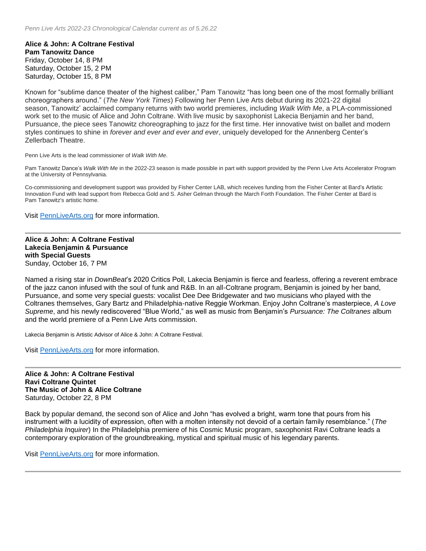**Alice & John: A Coltrane Festival Pam Tanowitz Dance** Friday, October 14, 8 PM Saturday, October 15, 2 PM Saturday, October 15, 8 PM

Known for "sublime dance theater of the highest caliber," Pam Tanowitz "has long been one of the most formally brilliant choreographers around." (*The New York Times*) Following her Penn Live Arts debut during its 2021-22 digital season, Tanowitz' acclaimed company returns with two world premieres, including *Walk With Me*, a PLA-commissioned work set to the music of Alice and John Coltrane. With live music by saxophonist Lakecia Benjamin and her band, Pursuance, the piece sees Tanowitz choreographing to jazz for the first time. Her innovative twist on ballet and modern styles continues to shine in *forever and ever and ever and ever*, uniquely developed for the Annenberg Center's Zellerbach Theatre.

Penn Live Arts is the lead commissioner of *Walk With Me*.

Pam Tanowitz Dance's *Walk With Me* in the 2022-23 season is made possible in part with support provided by the Penn Live Arts Accelerator Program at the University of Pennsylvania.

Co-commissioning and development support was provided by Fisher Center LAB, which receives funding from the Fisher Center at Bard's Artistic Innovation Fund with lead support from Rebecca Gold and S. Asher Gelman through the March Forth Foundation. The Fisher Center at Bard is Pam Tanowitz's artistic home.

Visit [PennLiveArts.org](https://pennlivearts.org/) for more information.

**Alice & John: A Coltrane Festival Lakecia Benjamin & Pursuance with Special Guests** Sunday, October 16, 7 PM

Named a rising star in *DownBeat*'s 2020 Critics Poll, Lakecia Benjamin is fierce and fearless, offering a reverent embrace of the jazz canon infused with the soul of funk and R&B. In an all-Coltrane program, Benjamin is joined by her band, Pursuance, and some very special guests: vocalist Dee Dee Bridgewater and two musicians who played with the Coltranes themselves, Gary Bartz and Philadelphia-native Reggie Workman. Enjoy John Coltrane's masterpiece, *A Love Supreme*, and his newly rediscovered "Blue World," as well as music from Benjamin's *Pursuance: The Coltranes* album and the world premiere of a Penn Live Arts commission.

Lakecia Benjamin is Artistic Advisor of Alice & John: A Coltrane Festival.

Visit [PennLiveArts.org](https://pennlivearts.org/) for more information.

**Alice & John: A Coltrane Festival Ravi Coltrane Quintet The Music of John & Alice Coltrane** Saturday, October 22, 8 PM

Back by popular demand, the second son of Alice and John "has evolved a bright, warm tone that pours from his instrument with a lucidity of expression, often with a molten intensity not devoid of a certain family resemblance." (*The Philadelphia Inquirer*) In the Philadelphia premiere of his Cosmic Music program, saxophonist Ravi Coltrane leads a contemporary exploration of the groundbreaking, mystical and spiritual music of his legendary parents.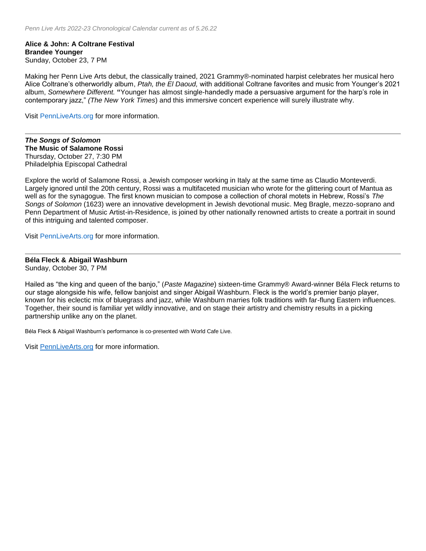**Alice & John: A Coltrane Festival Brandee Younger** Sunday, October 23, 7 PM

Making her Penn Live Arts debut, the classically trained, 2021 Grammy®-nominated harpist celebrates her musical hero Alice Coltrane's otherworldly album, *Ptah, the El Daoud,* with additional Coltrane favorites and music from Younger's 2021 album, *Somewhere Different.* **"**Younger has almost single-handedly made a persuasive argument for the harp's role in contemporary jazz," *(The New York Times*) and this immersive concert experience will surely illustrate why.

Visit [PennLiveArts.org](https://pennlivearts.org/) for more information.

*The Songs of Solomon* **The Music of Salamone Rossi** Thursday, October 27, 7:30 PM Philadelphia Episcopal Cathedral

Explore the world of Salamone Rossi, a Jewish composer working in Italy at the same time as Claudio Monteverdi. Largely ignored until the 20th century, Rossi was a multifaceted musician who wrote for the glittering court of Mantua as well as for the synagogue. The first known musician to compose a collection of choral motets in Hebrew, Rossi's *The Songs of Solomon* (1623) were an innovative development in Jewish devotional music. Meg Bragle, mezzo-soprano and Penn Department of Music Artist-in-Residence, is joined by other nationally renowned artists to create a portrait in sound of this intriguing and talented composer.

Visit [PennLiveArts.org](https://pennlivearts.org/) for more information.

#### **Béla Fleck & Abigail Washburn**

Sunday, October 30, 7 PM

Hailed as "the king and queen of the banjo," (*Paste Magazine*) sixteen-time Grammy® Award-winner Béla Fleck returns to our stage alongside his wife, fellow banjoist and singer Abigail Washburn. Fleck is the world's premier banjo player, known for his eclectic mix of bluegrass and jazz, while Washburn marries folk traditions with far-flung Eastern influences. Together, their sound is familiar yet wildly innovative, and on stage their artistry and chemistry results in a picking partnership unlike any on the planet.

Béla Fleck & Abigail Washburn's performance is co-presented with World Cafe Live.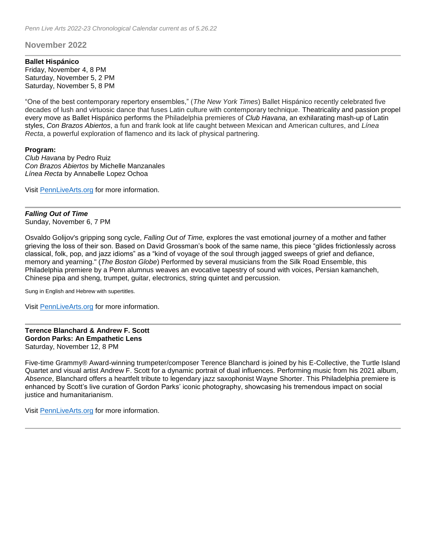**November 2022**

#### **Ballet Hispánico**

Friday, November 4, 8 PM Saturday, November 5, 2 PM Saturday, November 5, 8 PM

"One of the best contemporary repertory ensembles," (*The New York Times*) Ballet Hispánico recently celebrated five decades of lush and virtuosic dance that fuses Latin culture with contemporary technique. Theatricality and passion propel every move as Ballet Hispánico performs the Philadelphia premieres of *Club Havana*, an exhilarating mash-up of Latin styles, *Con Brazos Abiertos*, a fun and frank look at life caught between Mexican and American cultures, and *Línea Recta*, a powerful exploration of flamenco and its lack of physical partnering.

#### **Program:**

*Club Havana* by Pedro Ruiz *Con Brazos Abiertos* by Michelle Manzanales *Línea Recta* by Annabelle Lopez Ochoa

Visit [PennLiveArts.org](https://pennlivearts.org/) for more information.

# *Falling Out of Time*

Sunday, November 6, 7 PM

Osvaldo Golijov's gripping song cycle, *Falling Out of Time,* explores the vast emotional journey of a mother and father grieving the loss of their son. Based on David Grossman's book of the same name, this piece "glides frictionlessly across classical, folk, pop, and jazz idioms" as a "kind of voyage of the soul through jagged sweeps of grief and defiance, memory and yearning." (*The Boston Globe*) Performed by several musicians from the Silk Road Ensemble, this Philadelphia premiere by a Penn alumnus weaves an evocative tapestry of sound with voices, Persian kamancheh, Chinese pipa and sheng, trumpet, guitar, electronics, string quintet and percussion.

Sung in English and Hebrew with supertitles.

Visit [PennLiveArts.org](https://pennlivearts.org/) for more information.

# **Terence Blanchard & Andrew F. Scott Gordon Parks: An Empathetic Lens** Saturday, November 12, 8 PM

Five-time Grammy® Award-winning trumpeter/composer Terence Blanchard is joined by his E-Collective, the Turtle Island Quartet and visual artist Andrew F. Scott for a dynamic portrait of dual influences. Performing music from his 2021 album, *Absence*, Blanchard offers a heartfelt tribute to legendary jazz saxophonist Wayne Shorter. This Philadelphia premiere is enhanced by Scott's live curation of Gordon Parks' iconic photography, showcasing his tremendous impact on social justice and humanitarianism.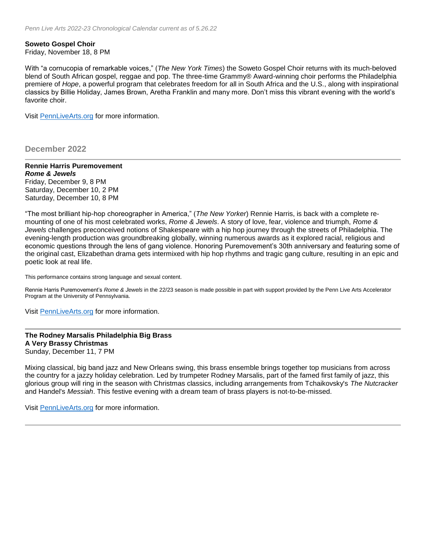# **Soweto Gospel Choir**

Friday, November 18, 8 PM

With "a cornucopia of remarkable voices," (*The New York Times*) the Soweto Gospel Choir returns with its much-beloved blend of South African gospel, reggae and pop. The three-time Grammy® Award-winning choir performs the Philadelphia premiere of *Hope*, a powerful program that celebrates freedom for all in South Africa and the U.S., along with inspirational classics by Billie Holiday, James Brown, Aretha Franklin and many more. Don't miss this vibrant evening with the world's favorite choir.

Visit [PennLiveArts.org](https://pennlivearts.org/) for more information.

**December 2022**

#### **Rennie Harris Puremovement** *Rome & Jewels*

Friday, December 9, 8 PM Saturday, December 10, 2 PM Saturday, December 10, 8 PM

"The most brilliant hip-hop choreographer in America," (*The New Yorker*) Rennie Harris, is back with a complete remounting of one of his most celebrated works, *Rome & Jewels*. A story of love, fear, violence and triumph, *Rome & Jewels* challenges preconceived notions of Shakespeare with a hip hop journey through the streets of Philadelphia. The evening-length production was groundbreaking globally, winning numerous awards as it explored racial, religious and economic questions through the lens of gang violence. Honoring Puremovement's 30th anniversary and featuring some of the original cast, Elizabethan drama gets intermixed with hip hop rhythms and tragic gang culture, resulting in an epic and poetic look at real life.

This performance contains strong language and sexual content.

Rennie Harris Puremovement's *Rome & Jewels* in the 22/23 season is made possible in part with support provided by the Penn Live Arts Accelerator Program at the University of Pennsylvania.

Visit [PennLiveArts.org](https://pennlivearts.org/) for more information.

# **The Rodney Marsalis Philadelphia Big Brass A Very Brassy Christmas** Sunday, December 11, 7 PM

Mixing classical, big band jazz and New Orleans swing, this brass ensemble brings together top musicians from across the country for a jazzy holiday celebration. Led by trumpeter Rodney Marsalis, part of the famed first family of jazz, this glorious group will ring in the season with Christmas classics, including arrangements from Tchaikovsky's *The Nutcracker* and Handel's *Messiah*. This festive evening with a dream team of brass players is not-to-be-missed.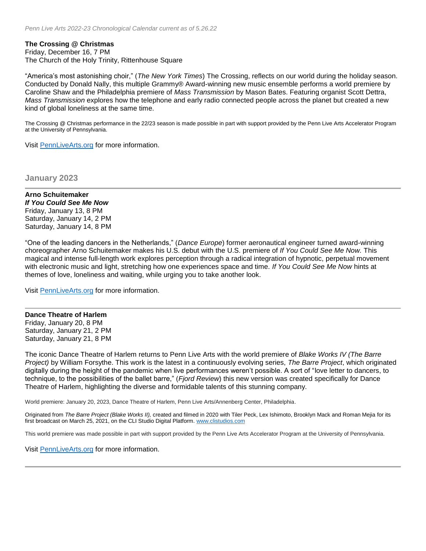## **The Crossing @ Christmas**

Friday, December 16, 7 PM The Church of the Holy Trinity, Rittenhouse Square

"America's most astonishing choir," (*The New York Times*) The Crossing, reflects on our world during the holiday season. Conducted by Donald Nally, this multiple Grammy® Award-winning new music ensemble performs a world premiere by Caroline Shaw and the Philadelphia premiere of *Mass Transmission* by Mason Bates. Featuring organist Scott Dettra, *Mass Transmission* explores how the telephone and early radio connected people across the planet but created a new kind of global loneliness at the same time.

The Crossing @ Christmas performance in the 22/23 season is made possible in part with support provided by the Penn Live Arts Accelerator Program at the University of Pennsylvania.

Visit [PennLiveArts.org](https://pennlivearts.org/) for more information.

**January 2023**

**Arno Schuitemaker** *If You Could See Me Now* Friday, January 13, 8 PM Saturday, January 14, 2 PM Saturday, January 14, 8 PM

"One of the leading dancers in the Netherlands," (*Dance Europe*) former aeronautical engineer turned award-winning choreographer Arno Schuitemaker makes his U.S. debut with the U.S. premiere of *If You Could See Me Now.* This magical and intense full-length work explores perception through a radical integration of hypnotic, perpetual movement with electronic music and light, stretching how one experiences space and time. *If You Could See Me Now* hints at themes of love, loneliness and waiting, while urging you to take another look.

Visit [PennLiveArts.org](https://pennlivearts.org/) for more information.

**Dance Theatre of Harlem** Friday, January 20, 8 PM Saturday, January 21, 2 PM

Saturday, January 21, 8 PM

The iconic Dance Theatre of Harlem returns to Penn Live Arts with the world premiere of *Blake Works IV (The Barre Project)* by William Forsythe. This work is the latest in a continuously evolving series, *The Barre Project*, which originated digitally during the height of the pandemic when live performances weren't possible. A sort of "love letter to dancers, to technique, to the possibilities of the ballet barre," (*Fjord Review*) this new version was created specifically for Dance Theatre of Harlem, highlighting the diverse and formidable talents of this stunning company.

World premiere: January 20, 2023, Dance Theatre of Harlem, Penn Live Arts/Annenberg Center, Philadelphia.

Originated from *The Barre Project (Blake Works II),* created and filmed in 2020 with Tiler Peck, Lex Ishimoto, Brooklyn Mack and Roman Mejia for its first broadcast on March 25, 2021, on the CLI Studio Digital Platform. [www.clistudios.com](http://www.clistudios.com/)

This world premiere was made possible in part with support provided by the Penn Live Arts Accelerator Program at the University of Pennsylvania.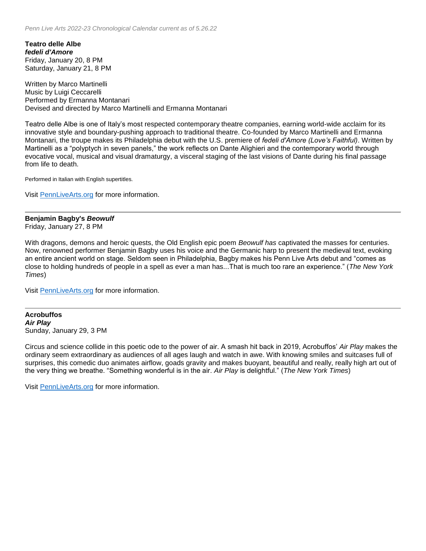**Teatro delle Albe** *fedeli d'Amore* Friday, January 20, 8 PM Saturday, January 21, 8 PM

Written by Marco Martinelli Music by Luigi Ceccarelli Performed by Ermanna Montanari Devised and directed by Marco Martinelli and Ermanna Montanari

Teatro delle Albe is one of Italy's most respected contemporary theatre companies, earning world-wide acclaim for its innovative style and boundary-pushing approach to traditional theatre. Co-founded by Marco Martinelli and Ermanna Montanari, the troupe makes its Philadelphia debut with the U.S. premiere of *fedeli d'Amore (Love's Faithful)*. Written by Martinelli as a "polyptych in seven panels," the work reflects on Dante Alighieri and the contemporary world through evocative vocal, musical and visual dramaturgy, a visceral staging of the last visions of Dante during his final passage from life to death.

Performed in Italian with English supertitles.

Visit [PennLiveArts.org](https://pennlivearts.org/) for more information.

#### **Benjamin Bagby's** *Beowulf* Friday, January 27, 8 PM

With dragons, demons and heroic quests, the Old English epic poem *Beowulf has* captivated the masses for centuries. Now, renowned performer Benjamin Bagby uses his voice and the Germanic harp to present the medieval text, evoking an entire ancient world on stage. Seldom seen in Philadelphia, Bagby makes his Penn Live Arts debut and "comes as close to holding hundreds of people in a spell as ever a man has...That is much too rare an experience." (*The New York Times*)

Visit [PennLiveArts.org](https://pennlivearts.org/) for more information.

**Acrobuffos** *Air Play* Sunday, January 29, 3 PM

Circus and science collide in this poetic ode to the power of air. A smash hit back in 2019, Acrobuffos' *Air Play* makes the ordinary seem extraordinary as audiences of all ages laugh and watch in awe. With knowing smiles and suitcases full of surprises, this comedic duo animates airflow, goads gravity and makes buoyant, beautiful and really, really high art out of the very thing we breathe. "Something wonderful is in the air. *Air Play* is delightful." (*The New York Times*)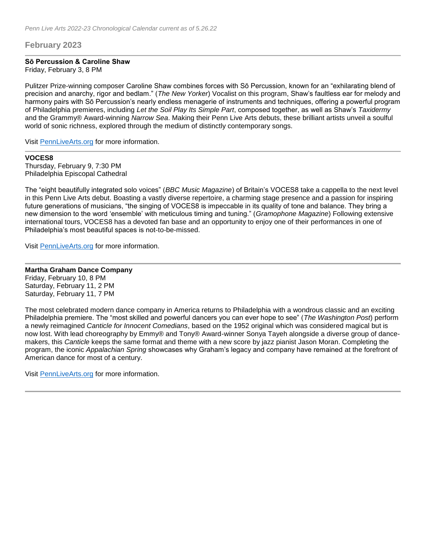# **February 2023**

## **Sō Percussion & Caroline Shaw**

Friday, February 3, 8 PM

Pulitzer Prize-winning composer Caroline Shaw combines forces with Sō Percussion, known for an "exhilarating blend of precision and anarchy, rigor and bedlam." (*The New Yorker*) Vocalist on this program, Shaw's faultless ear for melody and harmony pairs with Sō Percussion's nearly endless menagerie of instruments and techniques, offering a powerful program of Philadelphia premieres, including *Let the Soil Play Its Simple Part*, composed together, as well as Shaw's *Taxidermy* and the Grammy® Award-winning *Narrow Sea*. Making their Penn Live Arts debuts, these brilliant artists unveil a soulful world of sonic richness, explored through the medium of distinctly contemporary songs.

Visit [PennLiveArts.org](https://pennlivearts.org/) for more information.

# **VOCES8**

Thursday, February 9, 7:30 PM Philadelphia Episcopal Cathedral

The "eight beautifully integrated solo voices" (*BBC Music Magazine*) of Britain's VOCES8 take a cappella to the next level in this Penn Live Arts debut. Boasting a vastly diverse repertoire, a charming stage presence and a passion for inspiring future generations of musicians, "the singing of VOCES8 is impeccable in its quality of tone and balance. They bring a new dimension to the word 'ensemble' with meticulous timing and tuning." (*Gramophone Magazine*) Following extensive international tours, VOCES8 has a devoted fan base and an opportunity to enjoy one of their performances in one of Philadelphia's most beautiful spaces is not-to-be-missed.

Visit [PennLiveArts.org](https://pennlivearts.org/) for more information.

## **Martha Graham Dance Company**

Friday, February 10, 8 PM Saturday, February 11, 2 PM Saturday, February 11, 7 PM

The most celebrated modern dance company in America returns to Philadelphia with a wondrous classic and an exciting Philadelphia premiere. The "most skilled and powerful dancers you can ever hope to see" (*The Washington Post*) perform a newly reimagined *Canticle for Innocent Comedians*, based on the 1952 original which was considered magical but is now lost. With lead choreography by Emmy® and Tony® Award-winner Sonya Tayeh alongside a diverse group of dancemakers, this *Canticle* keeps the same format and theme with a new score by jazz pianist Jason Moran. Completing the program, the iconic *Appalachian Spring* showcases why Graham's legacy and company have remained at the forefront of American dance for most of a century.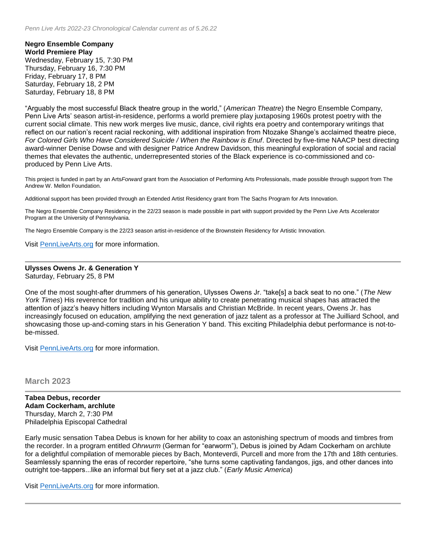**Negro Ensemble Company World Premiere Play** Wednesday, February 15, 7:30 PM Thursday, February 16, 7:30 PM Friday, February 17, 8 PM Saturday, February 18, 2 PM Saturday, February 18, 8 PM

"Arguably the most successful Black theatre group in the world," (*American Theatre*) the Negro Ensemble Company, Penn Live Arts' season artist-in-residence, performs a world premiere play juxtaposing 1960s protest poetry with the current social climate. This new work merges live music, dance, civil rights era poetry and contemporary writings that reflect on our nation's recent racial reckoning, with additional inspiration from Ntozake Shange's acclaimed theatre piece, *For Colored Girls Who Have Considered Suicide / When the Rainbow is Enuf*. Directed by five-time NAACP best directing award-winner Denise Dowse and with designer Patrice Andrew Davidson, this meaningful exploration of social and racial themes that elevates the authentic, underrepresented stories of the Black experience is co-commissioned and coproduced by Penn Live Arts.

This project is funded in part by an Arts*Forward* grant from the Association of Performing Arts Professionals, made possible through support from The Andrew W. Mellon Foundation.

Additional support has been provided through an Extended Artist Residency grant from The Sachs Program for Arts Innovation.

The Negro Ensemble Company Residency in the 22/23 season is made possible in part with support provided by the Penn Live Arts Accelerator Program at the University of Pennsylvania.

The Negro Ensemble Company is the 22/23 season artist-in-residence of the Brownstein Residency for Artistic Innovation.

Visit [PennLiveArts.org](https://pennlivearts.org/) for more information.

## **Ulysses Owens Jr. & Generation Y**

Saturday, February 25, 8 PM

One of the most sought-after drummers of his generation, Ulysses Owens Jr. "take[s] a back seat to no one." (*The New York Times*) His reverence for tradition and his unique ability to create penetrating musical shapes has attracted the attention of jazz's heavy hitters including Wynton Marsalis and Christian McBride. In recent years, Owens Jr. has increasingly focused on education, amplifying the next generation of jazz talent as a professor at The Juilliard School, and showcasing those up-and-coming stars in his Generation Y band. This exciting Philadelphia debut performance is not-tobe-missed.

Visit [PennLiveArts.org](https://pennlivearts.org/) for more information.

## **March 2023**

**Tabea Debus, recorder Adam Cockerham, archlute** Thursday, March 2, 7:30 PM Philadelphia Episcopal Cathedral

Early music sensation Tabea Debus is known for her ability to coax an astonishing spectrum of moods and timbres from the recorder. In a program entitled *Ohrwurm* (German for "earworm"), Debus is joined by Adam Cockerham on archlute for a delightful compilation of memorable pieces by Bach, Monteverdi, Purcell and more from the 17th and 18th centuries. Seamlessly spanning the eras of recorder repertoire, "she turns some captivating fandangos, jigs, and other dances into outright toe-tappers...like an informal but fiery set at a jazz club." (*Early Music America*)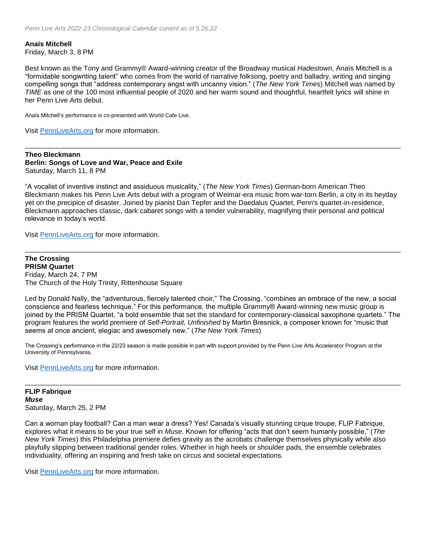**Anaïs Mitchell** Friday, March 3, 8 PM

Best known as the Tony and Grammy® Award-winning creator of the Broadway musical *Hadestown*, Anaïs Mitchell is a "formidable songwriting talent" who comes from the world of narrative folksong, poetry and balladry, writing and singing compelling songs that "address contemporary angst with uncanny vision." (*The New York Times*) Mitchell was named by *TIME* as one of the 100 most influential people of 2020 and her warm sound and thoughtful, heartfelt lyrics will shine in her Penn Live Arts debut.

Anaïs Mitchell's performance is co-presented with World Cafe Live.

Visit [PennLiveArts.org](https://pennlivearts.org/) for more information.

**Theo Bleckmann Berlin: Songs of Love and War, Peace and Exile** Saturday, March 11, 8 PM

"A vocalist of inventive instinct and assiduous musicality," (*The New York Times*) German-born American Theo Bleckmann makes his Penn Live Arts debut with a program of Weimar-era music from war-torn Berlin, a city in its heyday yet on the precipice of disaster. Joined by pianist Dan Tepfer and the Daedalus Quartet, Penn's quartet-in-residence, Bleckmann approaches classic, dark cabaret songs with a tender vulnerability, magnifying their personal and political relevance in today's world.

Visit [PennLiveArts.org](https://pennlivearts.org/) for more information.

**The Crossing PRISM Quartet**  Friday, March 24, 7 PM The Church of the Holy Trinity, Rittenhouse Square

Led by Donald Nally, the "adventurous, fiercely talented choir," The Crossing, "combines an embrace of the new, a social conscience and fearless technique." For this performance, the multiple Grammy® Award-winning new music group is joined by the PRISM Quartet, "a bold ensemble that set the standard for contemporary-classical saxophone quartets." The program features the world premiere of *Self-Portrait, Unfinished* by Martin Bresnick, a composer known for "music that seems at once ancient, elegiac and awesomely new." (*The New York Times*)

The Crossing's performance in the 22/23 season is made possible in part with support provided by the Penn Live Arts Accelerator Program at the University of Pennsylvania.

Visit [PennLiveArts.org](https://pennlivearts.org/) for more information.

**FLIP Fabrique** *Muse* Saturday, March 25, 2 PM

Can a woman play football? Can a man wear a dress? Yes! Canada's visually stunning cirque troupe, FLIP Fabrique, explores what it means to be your true self in *Muse*. Known for offering "acts that don't seem humanly possible," (*The New York Times*) this Philadelphia premiere defies gravity as the acrobats challenge themselves physically while also playfully slipping between traditional gender roles. Whether in high heels or shoulder pads, the ensemble celebrates individuality, offering an inspiring and fresh take on circus and societal expectations.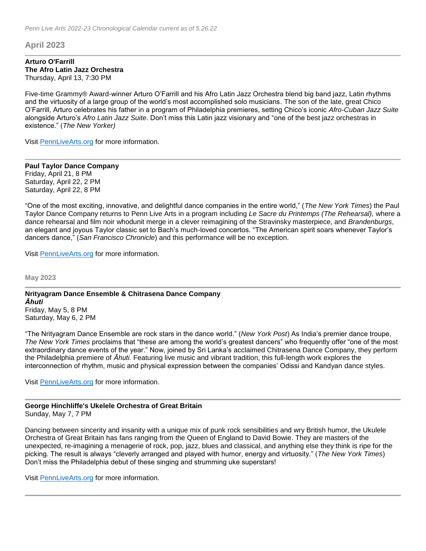# **April 2023**

#### **Arturo O'Farrill The Afro Latin Jazz Orchestra** Thursday, April 13, 7:30 PM

Five-time Grammy® Award-winner Arturo O'Farrill and his Afro Latin Jazz Orchestra blend big band jazz, Latin rhythms and the virtuosity of a large group of the world's most accomplished solo musicians. The son of the late, great Chico O'Farrill, Arturo celebrates his father in a program of Philadelphia premieres, setting Chico's iconic *Afro-Cuban Jazz Suite* alongside Arturo's *Afro Latin Jazz Suite*. Don't miss this Latin jazz visionary and "one of the best jazz orchestras in existence." (*The New Yorker)*

Visit [PennLiveArts.org](https://pennlivearts.org/) for more information.

**Paul Taylor Dance Company** Friday, April 21, 8 PM Saturday, April 22, 2 PM Saturday, April 22, 8 PM

"One of the most exciting, innovative, and delightful dance companies in the entire world," (*The New York Times*) the Paul Taylor Dance Company returns to Penn Live Arts in a program including *Le Sacre du Printemps (The Rehearsal),* where a dance rehearsal and film noir whodunit merge in a clever reimagining of the Stravinsky masterpiece, and *Brandenburgs*, an elegant and joyous Taylor classic set to Bach's much-loved concertos. "The American spirit soars whenever Taylor's dancers dance," (*San Francisco Chronicle*) and this performance will be no exception.

Visit [PennLiveArts.org](https://pennlivearts.org/) for more information.

**May 2023**

**Nrityagram Dance Ensemble & Chitrasena Dance Company** *Āhuti* Friday, May 5, 8 PM Saturday, May 6, 2 PM

"The Nrityagram Dance Ensemble are rock stars in the dance world." (*New York Post*) As India's premier dance troupe, *The New York Times* proclaims that "these are among the world's greatest dancers" who frequently offer "one of the most extraordinary dance events of the year." Now, joined by Sri Lanka's acclaimed Chitrasena Dance Company, they perform the Philadelphia premiere of *Āhuti.* Featuring live music and vibrant tradition, this full-length work explores the interconnection of rhythm, music and physical expression between the companies' Odissi and Kandyan dance styles.

Visit [PennLiveArts.org](https://pennlivearts.org/) for more information.

#### **George Hinchliffe's Ukelele Orchestra of Great Britain** Sunday, May 7, 7 PM

Dancing between sincerity and insanity with a unique mix of punk rock sensibilities and wry British humor, the Ukulele Orchestra of Great Britain has fans ranging from the Queen of England to David Bowie. They are masters of the unexpected, re-imagining a menagerie of rock, pop, jazz, blues and classical, and anything else they think is ripe for the picking. The result is always "cleverly arranged and played with humor, energy and virtuosity." (*The New York Times*) Don't miss the Philadelphia debut of these singing and strumming uke superstars!